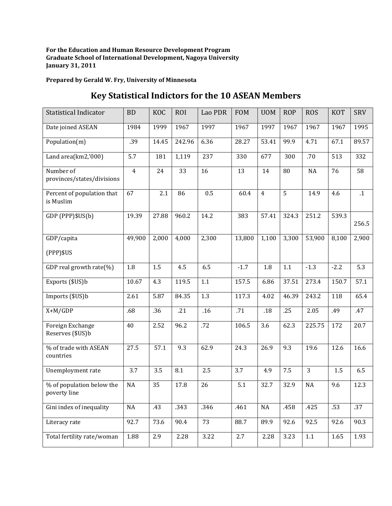**For the Education and Human Resource Development Program Graduate School of International Development, Nagoya University January 31, 2011**

**Prepared by Gerald W. Fry, University of Minnesota**

## **Key Statistical Indictors for the 10 ASEAN Members**

| <b>Statistical Indicator</b>              | <b>BD</b>      | <b>KOC</b>       | <b>ROI</b> | Lao PDR | <b>FOM</b> | <b>UOM</b>     | <b>ROP</b> | <b>ROS</b>     | <b>KOT</b> | SRV       |
|-------------------------------------------|----------------|------------------|------------|---------|------------|----------------|------------|----------------|------------|-----------|
| Date joined ASEAN                         | 1984           | 1999             | 1967       | 1997    | 1967       | 1997           | 1967       | 1967           | 1967       | 1995      |
| Population(m)                             | .39            | 14.45            | 242.96     | 6.36    | 28.27      | 53.41          | 99.9       | 4.71           | 67.1       | 89.57     |
| Land area(km2,'000)                       | 5.7            | 181              | 1,119      | 237     | 330        | 677            | 300        | .70            | 513        | 332       |
| Number of<br>provinces/states/divisions   | $\overline{4}$ | 24               | 33         | 16      | 13         | 14             | 80         | NA             | 76         | 58        |
| Percent of population that<br>is Muslim   | 67             | 2.1              | 86         | 0.5     | 60.4       | $\overline{4}$ | 5          | 14.9           | 4.6        | $\cdot$ 1 |
| GDP (PPP)\$US(b)                          | 19.39          | 27.88            | 960.2      | 14.2    | 383        | 57.41          | 324.3      | 251.2          | 539.3      | 256.5     |
| GDP/capita<br>$(PPP)$ \$US                | 49,900         | 2,000            | 4,000      | 2,300   | 13,800     | 1,100          | 3,300      | 53,900         | 8,100      | 2,900     |
| GDP real growth rate(%)                   | 1.8            | 1.5              | 4.5        | 6.5     | $-1.7$     | 1.8            | 1.1        | $-1.3$         | $-2.2$     | 5.3       |
| Exports (\$US)b                           | 10.67          | 4.3              | 119.5      | 1.1     | 157.5      | 6.86           | 37.51      | 273.4          | 150.7      | 57.1      |
| Imports (\$US)b                           | 2.61           | 5.87             | 84.35      | 1.3     | 117.3      | 4.02           | 46.39      | 243.2          | 118        | 65.4      |
| $X+M/GDP$                                 | .68            | $\overline{.}36$ | .21        | .16     | .71        | .18            | .25        | 2.05           | .49        | .47       |
| Foreign Exchange<br>Reserves (\$US)b      | 40             | 2.52             | 96.2       | .72     | 106.5      | 3.6            | 62.3       | 225.75         | 172        | 20.7      |
| % of trade with ASEAN<br>countries        | 27.5           | 57.1             | 9.3        | 62.9    | 24.3       | 26.9           | 9.3        | 19.6           | 12.6       | 16.6      |
| Unemployment rate                         | 3.7            | 3.5              | 8.1        | 2.5     | 3.7        | 4.9            | 7.5        | $\overline{3}$ | 1.5        | 6.5       |
| % of population below the<br>poverty line | NA             | 35               | 17.8       | 26      | 5.1        | 32.7           | 32.9       | NA             | 9.6        | 12.3      |
| Gini index of inequality                  | NA             | .43              | .343       | .346    | .461       | $\rm NA$       | .458       | .425           | .53        | .37       |
| Literacy rate                             | 92.7           | 73.6             | 90.4       | 73      | 88.7       | 89.9           | 92.6       | 92.5           | 92.6       | 90.3      |
| Total fertility rate/woman                | 1.88           | 2.9              | 2.28       | 3.22    | 2.7        | 2.28           | 3.23       | $1.1\,$        | 1.65       | 1.93      |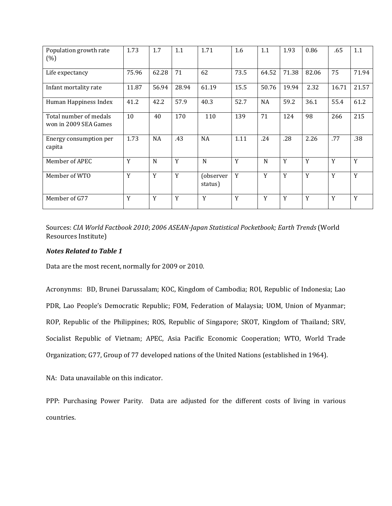| Population growth rate<br>(%)                   | 1.73  | 1.7       | 1.1   | 1.71                 | 1.6  | 1.1       | 1.93  | 0.86  | .65   | 1.1   |
|-------------------------------------------------|-------|-----------|-------|----------------------|------|-----------|-------|-------|-------|-------|
| Life expectancy                                 | 75.96 | 62.28     | 71    | 62                   | 73.5 | 64.52     | 71.38 | 82.06 | 75    | 71.94 |
| Infant mortality rate                           | 11.87 | 56.94     | 28.94 | 61.19                | 15.5 | 50.76     | 19.94 | 2.32  | 16.71 | 21.57 |
| Human Happiness Index                           | 41.2  | 42.2      | 57.9  | 40.3                 | 52.7 | <b>NA</b> | 59.2  | 36.1  | 55.4  | 61.2  |
| Total number of medals<br>won in 2009 SEA Games | 10    | 40        | 170   | 110                  | 139  | 71        | 124   | 98    | 266   | 215   |
| Energy consumption per<br>capita                | 1.73  | <b>NA</b> | .43   | <b>NA</b>            | 1.11 | .24       | .28   | 2.26  | .77   | .38   |
| Member of APEC                                  | Y     | N         | Y     | N                    | Y    | N         | Y     | Y     | Y     | Y     |
| Member of WTO                                   | Y     | Y         | Y     | (observer<br>status) | Y    | Y         | Y     | Y     | Y     | Y     |
| Member of G77                                   | Y     | Y         | Y     | Y                    | Y    | Y         | Y     | Y     | Y     | Y     |

Sources: *CIA World Factbook 2010*; *2006 ASEAN-Japan Statistical Pocketbook; Earth Trends* (World Resources Institute)

## *Notes Related to Table 1*

Data are the most recent, normally for 2009 or 2010.

Acronynms: BD, Brunei Darussalam; KOC, Kingdom of Cambodia; ROI, Republic of Indonesia; Lao PDR, Lao People's Democratic Republic; FOM, Federation of Malaysia; UOM, Union of Myanmar; ROP, Republic of the Philippines; ROS, Republic of Singapore; SKOT, Kingdom of Thailand; SRV, Socialist Republic of Vietnam; APEC, Asia Pacific Economic Cooperation; WTO, World Trade Organization; G77, Group of 77 developed nations of the United Nations (established in 1964).

NA: Data unavailable on this indicator.

PPP: Purchasing Power Parity. Data are adjusted for the different costs of living in various countries.